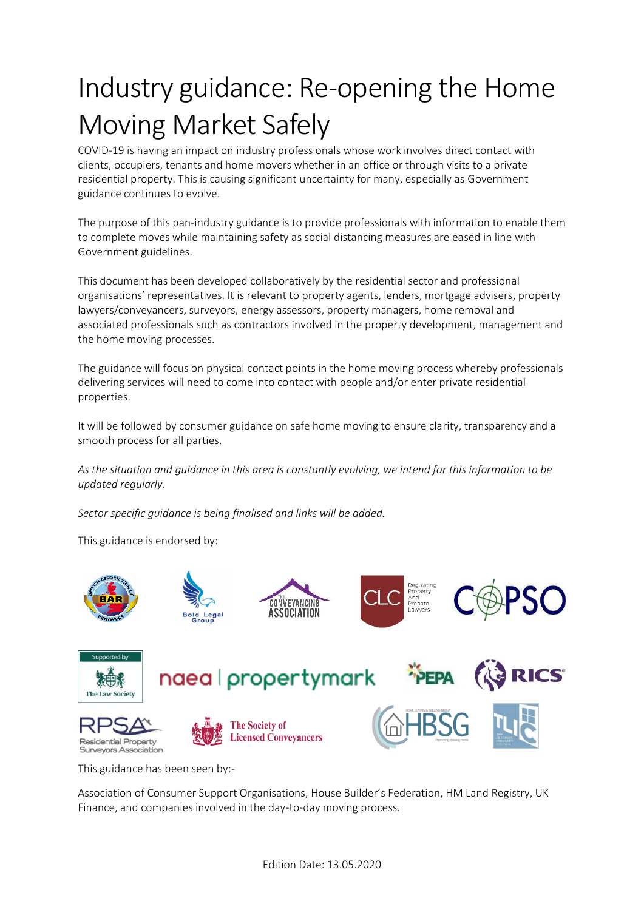# Industry guidance: Re-opening the Home Moving Market Safely

COVID-19 is having an impact on industry professionals whose work involves direct contact with clients, occupiers, tenants and home movers whether in an office or through visits to a private residential property. This is causing significant uncertainty for many, especially as Government guidance continues to evolve.

The purpose of this pan-industry guidance is to provide professionals with information to enable them to complete moves while maintaining safety as social distancing measures are eased in line with Government guidelines.

This document has been developed collaboratively by the residential sector and professional organisations' representatives. It is relevant to property agents, lenders, mortgage advisers, property lawyers/conveyancers, surveyors, energy assessors, property managers, home removal and associated professionals such as contractors involved in the property development, management and the home moving processes.

The guidance will focus on physical contact points in the home moving process whereby professionals delivering services will need to come into contact with people and/or enter private residential properties.

It will be followed by consumer guidance on safe home moving to ensure clarity, transparency and a smooth process for all parties.

*As the situation and guidance in this area is constantly evolving, we intend for this information to be updated regularly.* 

*Sector specific guidance is being finalised and links will be added.* 

This guidance is endorsed by:



This guidance has been seen by:-

Association of Consumer Support Organisations, House Builder's Federation, HM Land Registry, UK Finance, and companies involved in the day-to-day moving process.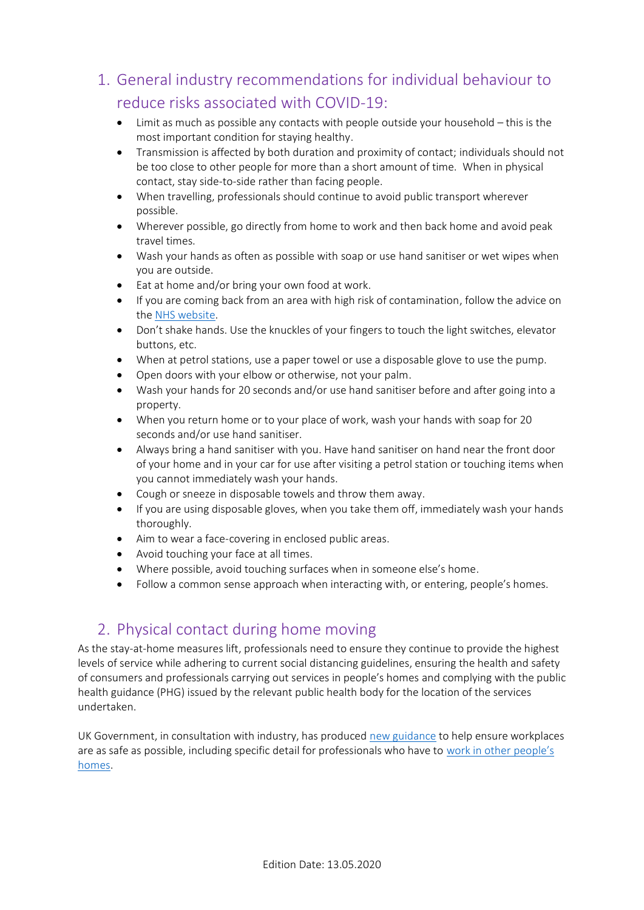1. General industry recommendations for individual behaviour to reduce risks associated with COVID-19:

- Limit as much as possible any contacts with people outside your household this is the most important condition for staying healthy.
- Transmission is affected by both duration and proximity of contact; individuals should not be too close to other people for more than a short amount of time. When in physical contact, stay side-to-side rather than facing people.
- When travelling, professionals should continue to avoid public transport wherever possible.
- Wherever possible, go directly from home to work and then back home and avoid peak travel times.
- Wash your hands as often as possible with soap or use hand sanitiser or wet wipes when you are outside.
- Eat at home and/or bring your own food at work.
- If you are coming back from an area with high risk of contamination, follow the advice on the [NHS website.](https://www.nhs.uk/conditions/coronavirus-covid-19/)
- Don't shake hands. Use the knuckles of your fingers to touch the light switches, elevator buttons, etc.
- When at petrol stations, use a paper towel or use a disposable glove to use the pump.
- Open doors with your elbow or otherwise, not your palm.
- Wash your hands for 20 seconds and/or use hand sanitiser before and after going into a property.
- When you return home or to your place of work, wash your hands with soap for 20 seconds and/or use hand sanitiser.
- Always bring a hand sanitiser with you. Have hand sanitiser on hand near the front door of your home and in your car for use after visiting a petrol station or touching items when you cannot immediately wash your hands.
- Cough or sneeze in disposable towels and throw them away.
- If you are using disposable gloves, when you take them off, immediately wash your hands thoroughly.
- Aim to wear a face-covering in enclosed public areas.
- Avoid touching your face at all times.
- Where possible, avoid touching surfaces when in someone else's home.
- Follow a common sense approach when interacting with, or entering, people's homes.

# 2. Physical contact during home moving

As the stay-at-home measures lift, professionals need to ensure they continue to provide the highest levels of service while adhering to current social distancing guidelines, ensuring the health and safety of consumers and professionals carrying out services in people's homes and complying with the public health guidance (PHG) issued by the relevant public health body for the location of the services undertaken.

UK Government, in consultation with industry, has produced [new guidance](https://www.gov.uk/government/news/new-guidance-launched-to-help-get-brits-safely-back-to-work) to help ensure workplaces are as safe as possible, including specific detail for professionals who have to [work in other](https://www.gov.uk/guidance/working-safely-during-coronavirus-covid-19/homes) people's [homes.](https://www.gov.uk/guidance/working-safely-during-coronavirus-covid-19/homes)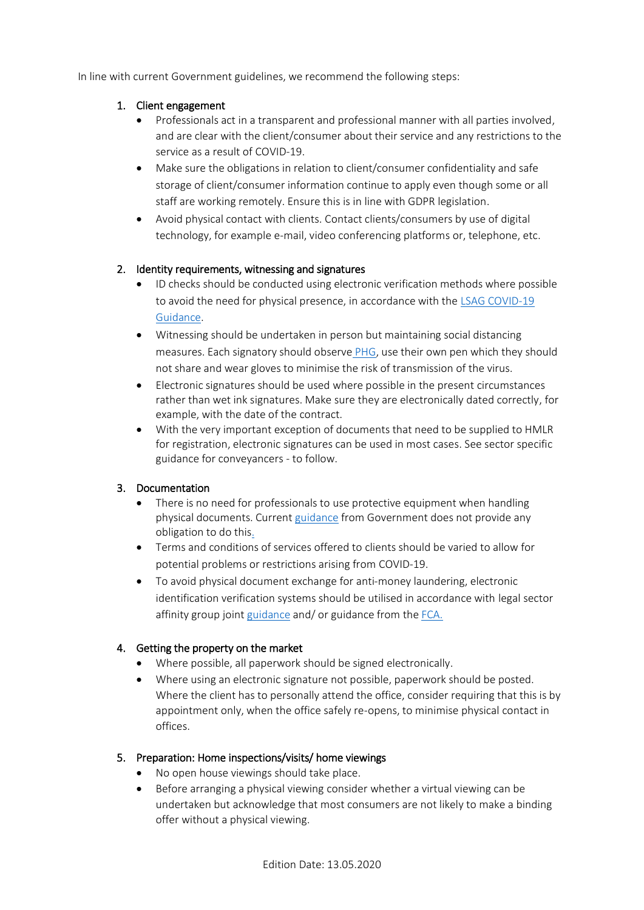In line with current Government guidelines, we recommend the following steps:

## 1. Client engagement

- Professionals act in a transparent and professional manner with all parties involved, and are clear with the client/consumer about their service and any restrictions to the service as a result of COVID-19.
- Make sure the obligations in relation to client/consumer confidentiality and safe storage of client/consumer information continue to apply even though some or all staff are working remotely. Ensure this is in line with GDPR legislation.
- Avoid physical contact with clients. Contact clients/consumers by use of digital technology, for example e-mail, video conferencing platforms or, telephone, etc.

## 2. Identity requirements, witnessing and signatures

- ID checks should be conducted using electronic verification methods where possible to avoid the need for physical presence, in accordance with the [LSAG COVID-19](https://www.clc-uk.org/covid-19-preventing-money-launderingterrorist-financing-in-legal-practices/)  [Guidance.](https://www.clc-uk.org/covid-19-preventing-money-launderingterrorist-financing-in-legal-practices/)
- Witnessing should be undertaken in person but maintaining social distancing measures. Each signatory should observe [PHG,](https://www.gov.uk/government/collections/coronavirus-covid-19-list-of-guidance) use their own pen which they should not share and wear gloves to minimise the risk of transmission of the virus.
- Electronic signatures should be used where possible in the present circumstances rather than wet ink signatures. Make sure they are electronically dated correctly, for example, with the date of the contract.
- With the very important exception of documents that need to be supplied to HMLR for registration, electronic signatures can be used in most cases. See sector specific guidance for conveyancers - to follow.

## 3. Documentation

- There is no need for professionals to use protective equipment when handling physical documents. Current [guidance](https://www.gov.uk/government/publications/guidance-to-employers-and-businesses-about-covid-19) from Government does not provide any obligation to do this.
- Terms and conditions of services offered to clients should be varied to allow for potential problems or restrictions arising from COVID-19.
- To avoid physical document exchange for anti-money laundering, electronic identification verification systems should be utilised in accordance with legal sector affinity group join[t guidance](https://www.lawsociety.org.uk/policy-campaigns/articles/anti-money-laundering-guidance/) and/ or guidance from the [FCA.](https://www.fca.org.uk/publication/correspondence/dear-ceo-letter-coronavirus-update-firms-providing-services-retail-investors.pdf)

## 4. Getting the property on the market

- Where possible, all paperwork should be signed electronically.
- Where using an electronic signature not possible, paperwork should be posted. Where the client has to personally attend the office, consider requiring that this is by appointment only, when the office safely re-opens, to minimise physical contact in offices.

## 5. Preparation: Home inspections/visits/ home viewings

- No open house viewings should take place.
- Before arranging a physical viewing consider whether a virtual viewing can be undertaken but acknowledge that most consumers are not likely to make a binding offer without a physical viewing.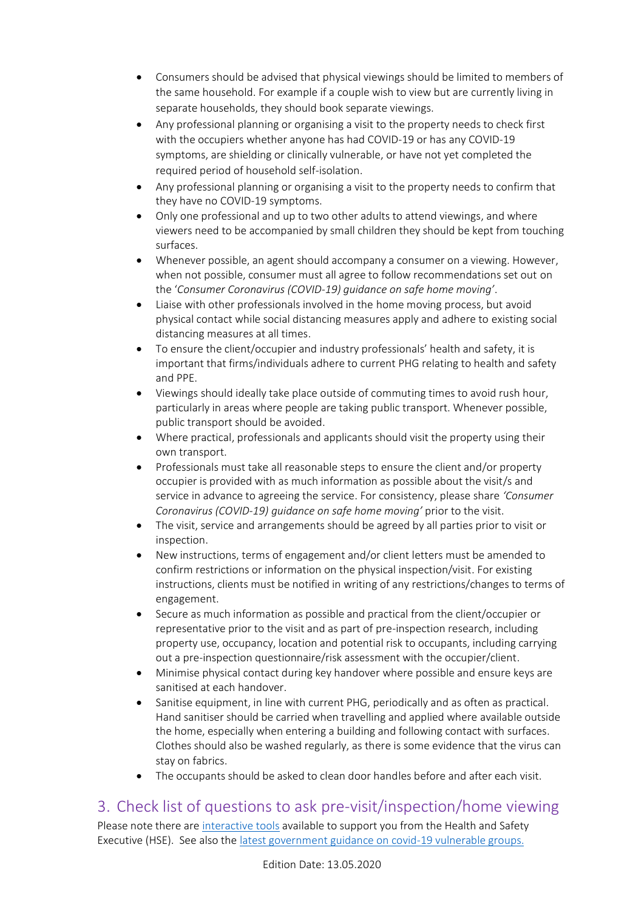- Consumers should be advised that physical viewings should be limited to members of the same household. For example if a couple wish to view but are currently living in separate households, they should book separate viewings.
- Any professional planning or organising a visit to the property needs to check first with the occupiers whether anyone has had COVID-19 or has any COVID-19 symptoms, are shielding or clinically vulnerable, or have not yet completed the required period of household self-isolation.
- Any professional planning or organising a visit to the property needs to confirm that they have no COVID-19 symptoms.
- Only one professional and up to two other adults to attend viewings, and where viewers need to be accompanied by small children they should be kept from touching surfaces.
- Whenever possible, an agent should accompany a consumer on a viewing. However, when not possible, consumer must all agree to follow recommendations set out on the '*Consumer Coronavirus (COVID-19) guidance on safe home moving'*.
- Liaise with other professionals involved in the home moving process, but avoid physical contact while social distancing measures apply and adhere to existing social distancing measures at all times.
- To ensure the client/occupier and industry professionals' health and safety, it is important that firms/individuals adhere to current PHG relating to health and safety and PPE.
- Viewings should ideally take place outside of commuting times to avoid rush hour, particularly in areas where people are taking public transport. Whenever possible, public transport should be avoided.
- Where practical, professionals and applicants should visit the property using their own transport.
- Professionals must take all reasonable steps to ensure the client and/or property occupier is provided with as much information as possible about the visit/s and service in advance to agreeing the service. For consistency, please share *'Consumer Coronavirus (COVID-19) guidance on safe home moving'* prior to the visit.
- The visit, service and arrangements should be agreed by all parties prior to visit or inspection.
- New instructions, terms of engagement and/or client letters must be amended to confirm restrictions or information on the physical inspection/visit. For existing instructions, clients must be notified in writing of any restrictions/changes to terms of engagement.
- Secure as much information as possible and practical from the client/occupier or representative prior to the visit and as part of pre-inspection research, including property use, occupancy, location and potential risk to occupants, including carrying out a pre-inspection questionnaire/risk assessment with the occupier/client.
- Minimise physical contact during key handover where possible and ensure keys are sanitised at each handover.
- Sanitise equipment, in line with current PHG, periodically and as often as practical. Hand sanitiser should be carried when travelling and applied where available outside the home, especially when entering a building and following contact with surfaces. Clothes should also be washed regularly, as there is some evidence that the virus can stay on fabrics.
- The occupants should be asked to clean door handles before and after each visit.

# 3. Check list of questions to ask pre-visit/inspection/home viewing

Please note there are [interactive tools](https://www.hse.gov.uk/risk/assessment.htm) available to support you from the Health and Safety Executive (HSE). See also th[e latest government guidance on covid-19 vulnerable groups.](https://www.gov.uk/government/publications/guidance-on-shielding-and-protecting-extremely-vulnerable-persons-from-covid-19/guidance-on-shielding-and-protecting-extremely-vulnerable-persons-from-covid-19)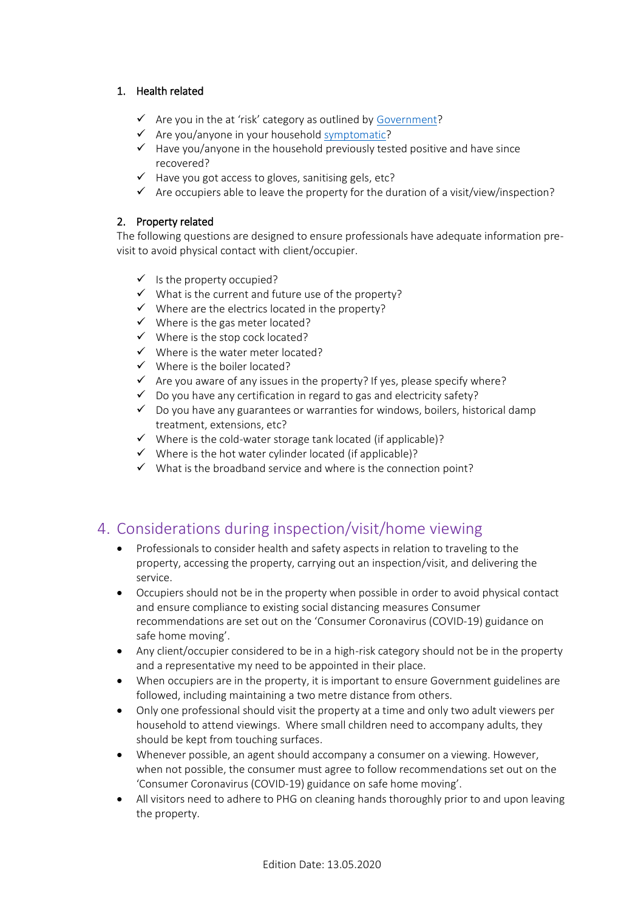## 1. Health related

- $\checkmark$  Are you in the at 'risk' category as outlined by [Government?](https://www.gov.uk/government/publications/covid-19-guidance-on-social-distancing-and-for-vulnerable-people/guidance-on-social-distancing-for-everyone-in-the-uk-and-protecting-older-people-and-vulnerable-adults)
- $\checkmark$  Are you/anyone in your household [symptomatic?](https://www.gov.uk/government/collections/coronavirus-covid-19-list-of-guidance)
- $\checkmark$  Have you/anyone in the household previously tested positive and have since recovered?
- $\checkmark$  Have you got access to gloves, sanitising gels, etc?
- $\checkmark$  Are occupiers able to leave the property for the duration of a visit/view/inspection?

## 2. Property related

The following questions are designed to ensure professionals have adequate information previsit to avoid physical contact with client/occupier.

- $\checkmark$  Is the property occupied?
- $\checkmark$  What is the current and future use of the property?
- $\checkmark$  Where are the electrics located in the property?
- $\checkmark$  Where is the gas meter located?
- $\checkmark$  Where is the stop cock located?
- $\checkmark$  Where is the water meter located?
- $\checkmark$  Where is the boiler located?
- $\checkmark$  Are you aware of any issues in the property? If yes, please specify where?
- $\checkmark$  Do you have any certification in regard to gas and electricity safety?
- $\checkmark$  Do you have any guarantees or warranties for windows, boilers, historical damp treatment, extensions, etc?
- $\checkmark$  Where is the cold-water storage tank located (if applicable)?
- $\checkmark$  Where is the hot water cylinder located (if applicable)?
- $\checkmark$  What is the broadband service and where is the connection point?

# 4. Considerations during inspection/visit/home viewing

- Professionals to consider health and safety aspects in relation to traveling to the property, accessing the property, carrying out an inspection/visit, and delivering the service.
- Occupiers should not be in the property when possible in order to avoid physical contact and ensure compliance to existing social distancing measures Consumer recommendations are set out on the 'Consumer Coronavirus (COVID-19) guidance on safe home moving'.
- Any client/occupier considered to be in a high-risk category should not be in the property and a representative my need to be appointed in their place.
- When occupiers are in the property, it is important to ensure Government guidelines are followed, including maintaining a two metre distance from others.
- Only one professional should visit the property at a time and only two adult viewers per household to attend viewings. Where small children need to accompany adults, they should be kept from touching surfaces.
- Whenever possible, an agent should accompany a consumer on a viewing. However, when not possible, the consumer must agree to follow recommendations set out on the 'Consumer Coronavirus (COVID-19) guidance on safe home moving'.
- All visitors need to adhere to PHG on cleaning hands thoroughly prior to and upon leaving the property.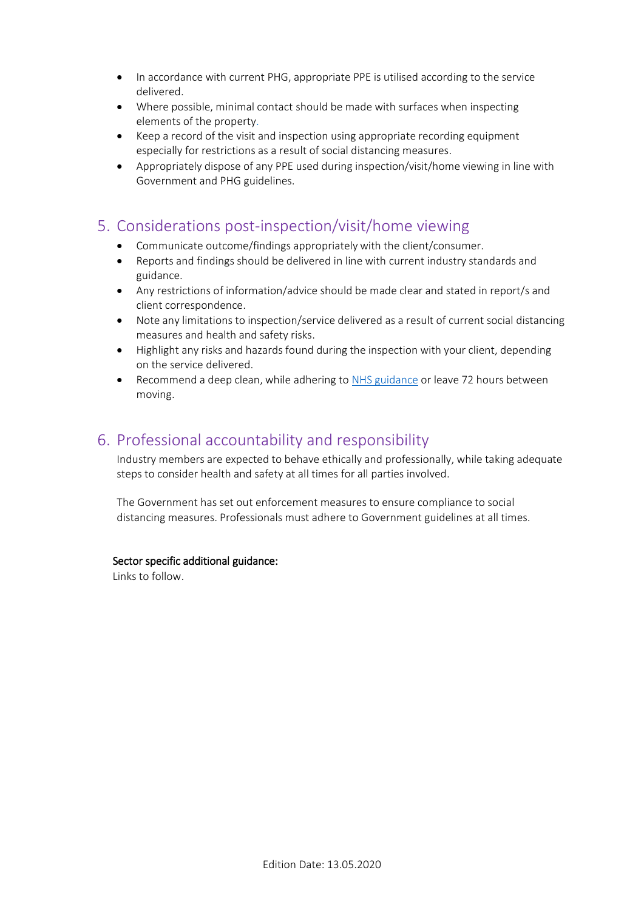- In accordance with current PHG, appropriate PPE is utilised according to the service delivered.
- Where possible, minimal contact should be made with surfaces when inspecting elements of the property.
- Keep a record of the visit and inspection using appropriate recording equipment especially for restrictions as a result of social distancing measures.
- Appropriately dispose of any PPE used during inspection/visit/home viewing in line with Government and PHG guidelines.

## 5. Considerations post-inspection/visit/home viewing

- Communicate outcome/findings appropriately with the client/consumer.
- Reports and findings should be delivered in line with current industry standards and guidance.
- Any restrictions of information/advice should be made clear and stated in report/s and client correspondence.
- Note any limitations to inspection/service delivered as a result of current social distancing measures and health and safety risks.
- Highlight any risks and hazards found during the inspection with your client, depending on the service delivered.
- Recommend a deep clean, while adhering to [NHS guidance](https://www.gov.uk/government/publications/covid-19-decontamination-in-non-healthcare-settings/covid-19-decontamination-in-non-healthcare-settings) or leave 72 hours between moving.

# 6. Professional accountability and responsibility

Industry members are expected to behave ethically and professionally, while taking adequate steps to consider health and safety at all times for all parties involved.

The Government has set out enforcement measures to ensure compliance to social distancing measures. Professionals must adhere to Government guidelines at all times.

## Sector specific additional guidance:

Links to follow.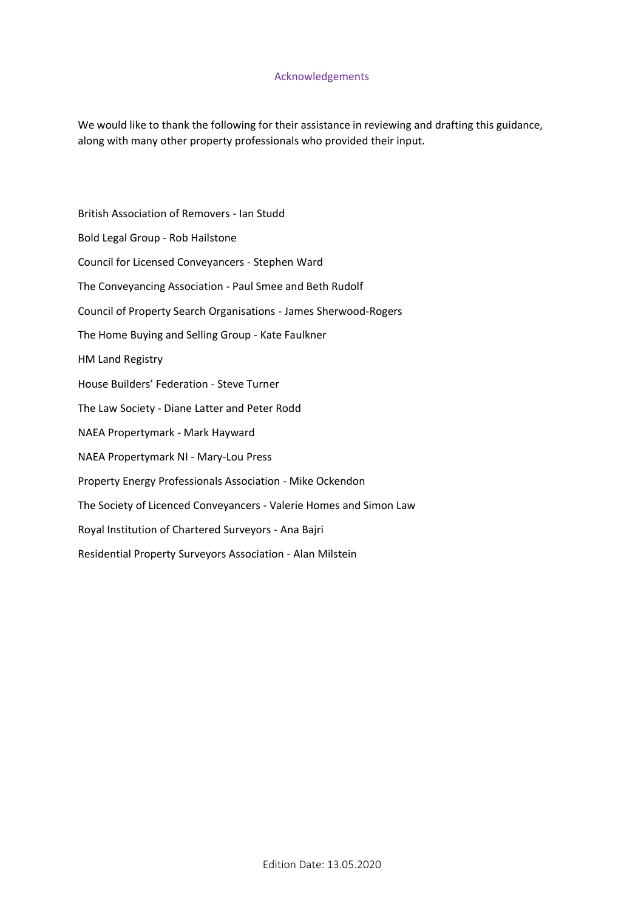#### Acknowledgements

We would like to thank the following for their assistance in reviewing and drafting this guidance, along with many other property professionals who provided their input.

British Association of Removers - Ian Studd Bold Legal Group - Rob Hailstone Council for Licensed Conveyancers - Stephen Ward The Conveyancing Association - Paul Smee and Beth Rudolf Council of Property Search Organisations - James Sherwood-Rogers The Home Buying and Selling Group - Kate Faulkner HM Land Registry House Builders' Federation - Steve Turner The Law Society - Diane Latter and Peter Rodd NAEA Propertymark - Mark Hayward NAEA Propertymark NI - Mary-Lou Press Property Energy Professionals Association - Mike Ockendon The Society of Licenced Conveyancers - Valerie Homes and Simon Law Royal Institution of Chartered Surveyors - Ana Bajri Residential Property Surveyors Association - Alan Milstein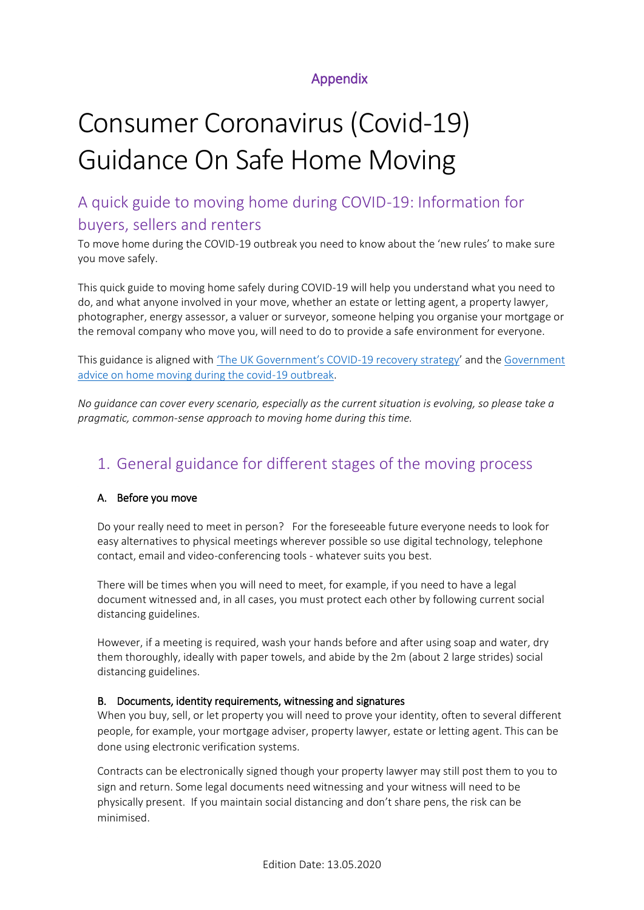# Appendix

# Consumer Coronavirus (Covid-19) Guidance On Safe Home Moving

# A quick guide to moving home during COVID-19: Information for buyers, sellers and renters

To move home during the COVID-19 outbreak you need to know about the 'new rules' to make sure you move safely.

This quick guide to moving home safely during COVID-19 will help you understand what you need to do, and what anyone involved in your move, whether an estate or letting agent, a property lawyer, photographer, energy assessor, a valuer or surveyor, someone helping you organise your mortgage or the removal company who move you, will need to do to provide a safe environment for everyone.

This guidance is aligned with ['The UK Government's COVID](https://assets.publishing.service.gov.uk/government/uploads/system/uploads/attachment_data/file/884171/FINAL_6.6637_CO_HMG_C19_Recovery_FINAL_110520_v2_WEB__1_.pdf)-19 recovery strategy' and the [Government](https://www.gov.uk/guidance/government-advice-on-home-moving-during-the-coronavirus-covid-19-outbreak?utm_source=e0e4eeda-953e-4084-b795-adf5e2870cb4&utm_medium=email&utm_campaign=govuk-notifications&utm_content=immediate)  [advice on home moving during the covid-19 outbreak.](https://www.gov.uk/guidance/government-advice-on-home-moving-during-the-coronavirus-covid-19-outbreak?utm_source=e0e4eeda-953e-4084-b795-adf5e2870cb4&utm_medium=email&utm_campaign=govuk-notifications&utm_content=immediate)

*No guidance can cover every scenario, especially as the current situation is evolving, so please take a pragmatic, common-sense approach to moving home during this time.* 

# 1. General guidance for different stages of the moving process

## A. Before you move

Do your really need to meet in person? For the foreseeable future everyone needs to look for easy alternatives to physical meetings wherever possible so use digital technology, telephone contact, email and video-conferencing tools - whatever suits you best.

There will be times when you will need to meet, for example, if you need to have a legal document witnessed and, in all cases, you must protect each other by following current social distancing guidelines.

However, if a meeting is required, wash your hands before and after using soap and water, dry them thoroughly, ideally with paper towels, and abide by the 2m (about 2 large strides) social distancing guidelines.

## B. Documents, identity requirements, witnessing and signatures

When you buy, sell, or let property you will need to prove your identity, often to several different people, for example, your mortgage adviser, property lawyer, estate or letting agent. This can be done using electronic verification systems.

Contracts can be electronically signed though your property lawyer may still post them to you to sign and return. Some legal documents need witnessing and your witness will need to be physically present. If you maintain social distancing and don't share pens, the risk can be minimised.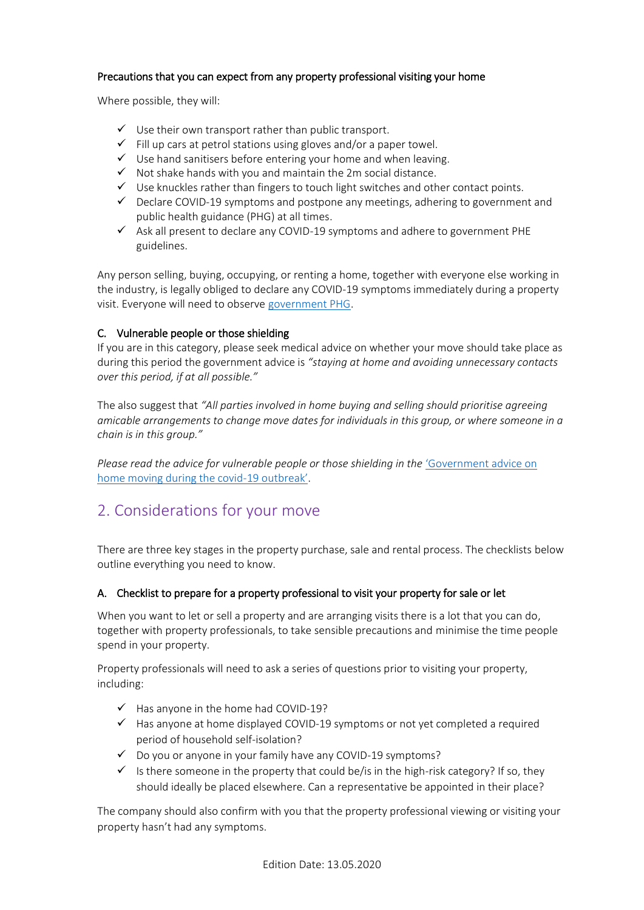## Precautions that you can expect from any property professional visiting your home

Where possible, they will:

- $\checkmark$  Use their own transport rather than public transport.
- $\checkmark$  Fill up cars at petrol stations using gloves and/or a paper towel.
- $\checkmark$  Use hand sanitisers before entering your home and when leaving.
- $\checkmark$  Not shake hands with you and maintain the 2m social distance.
- $\checkmark$  Use knuckles rather than fingers to touch light switches and other contact points.
- $\checkmark$  Declare COVID-19 symptoms and postpone any meetings, adhering to government and public health guidance (PHG) at all times.
- $\checkmark$  Ask all present to declare any COVID-19 symptoms and adhere to government PHE guidelines.

Any person selling, buying, occupying, or renting a home, together with everyone else working in the industry, is legally obliged to declare any COVID-19 symptoms immediately during a property visit. Everyone will need to observe [government PHG.](https://www.gov.uk/government/collections/coronavirus-covid-19-list-of-guidance)

## C. Vulnerable people or those shielding

If you are in this category, please seek medical advice on whether your move should take place as during this period the government advice is *"staying at home and avoiding unnecessary contacts over this period, if at all possible."*

The also suggest that *"All parties involved in home buying and selling should prioritise agreeing amicable arrangements to change move dates for individuals in this group, or where someone in a chain is in this group."*

*Please read the advice for vulnerable people or those shielding in the 'Government advice on* [home moving during the covid-](https://www.gov.uk/guidance/government-advice-on-home-moving-during-the-coronavirus-covid-19-outbreak?utm_source=e0e4eeda-953e-4084-b795-adf5e2870cb4&utm_medium=email&utm_campaign=govuk-notifications&utm_content=immediate)19 outbreak'.

# 2. Considerations for your move

There are three key stages in the property purchase, sale and rental process. The checklists below outline everything you need to know.

## A. Checklist to prepare for a property professional to visit your property for sale or let

When you want to let or sell a property and are arranging visits there is a lot that you can do, together with property professionals, to take sensible precautions and minimise the time people spend in your property.

Property professionals will need to ask a series of questions prior to visiting your property, including:

- $\checkmark$  Has anyone in the home had COVID-19?
- $\checkmark$  Has anyone at home displayed COVID-19 symptoms or not yet completed a required period of household self-isolation?
- $\checkmark$  Do you or anyone in your family have any COVID-19 symptoms?
- $\checkmark$  Is there someone in the property that could be/is in the high-risk category? If so, they should ideally be placed elsewhere. Can a representative be appointed in their place?

The company should also confirm with you that the property professional viewing or visiting your property hasn't had any symptoms.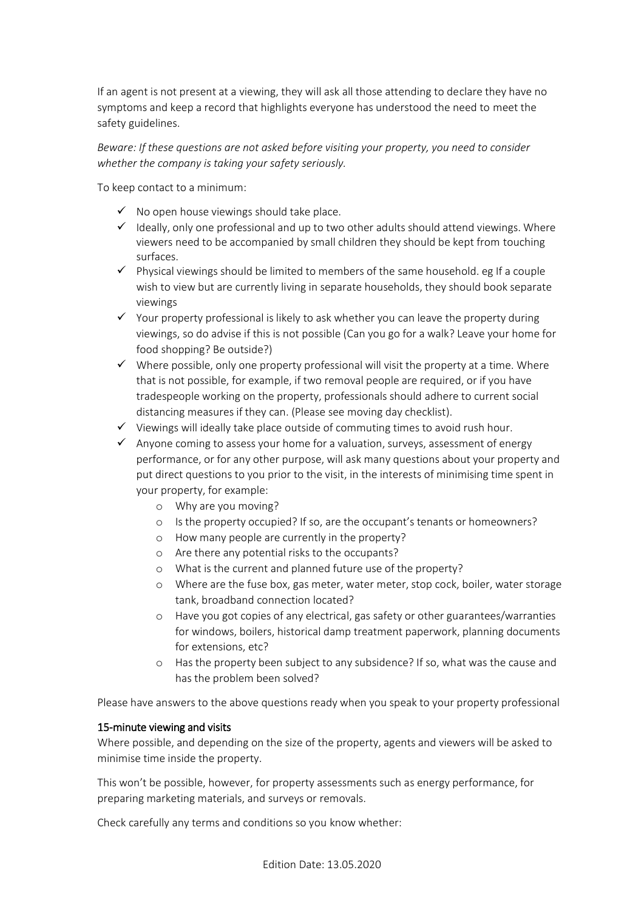If an agent is not present at a viewing, they will ask all those attending to declare they have no symptoms and keep a record that highlights everyone has understood the need to meet the safety guidelines.

*Beware: If these questions are not asked before visiting your property, you need to consider whether the company is taking your safety seriously.*

To keep contact to a minimum:

- $\checkmark$  No open house viewings should take place.
- $\checkmark$  Ideally, only one professional and up to two other adults should attend viewings. Where viewers need to be accompanied by small children they should be kept from touching surfaces.
- $\checkmark$  Physical viewings should be limited to members of the same household. eg If a couple wish to view but are currently living in separate households, they should book separate viewings
- $\checkmark$  Your property professional is likely to ask whether you can leave the property during viewings, so do advise if this is not possible (Can you go for a walk? Leave your home for food shopping? Be outside?)
- $\checkmark$  Where possible, only one property professional will visit the property at a time. Where that is not possible, for example, if two removal people are required, or if you have tradespeople working on the property, professionals should adhere to current social distancing measures if they can. (Please see moving day checklist).
- $\checkmark$  Viewings will ideally take place outside of commuting times to avoid rush hour.
- $\checkmark$  Anyone coming to assess your home for a valuation, surveys, assessment of energy performance, or for any other purpose, will ask many questions about your property and put direct questions to you prior to the visit, in the interests of minimising time spent in your property, for example:
	- o Why are you moving?
	- o Is the property occupied? If so, are the occupant's tenants or homeowners?
	- o How many people are currently in the property?
	- o Are there any potential risks to the occupants?
	- o What is the current and planned future use of the property?
	- o Where are the fuse box, gas meter, water meter, stop cock, boiler, water storage tank, broadband connection located?
	- o Have you got copies of any electrical, gas safety or other guarantees/warranties for windows, boilers, historical damp treatment paperwork, planning documents for extensions, etc?
	- o Has the property been subject to any subsidence? If so, what was the cause and has the problem been solved?

Please have answers to the above questions ready when you speak to your property professional

#### 15-minute viewing and visits

Where possible, and depending on the size of the property, agents and viewers will be asked to minimise time inside the property.

This won't be possible, however, for property assessments such as energy performance, for preparing marketing materials, and surveys or removals.

Check carefully any terms and conditions so you know whether: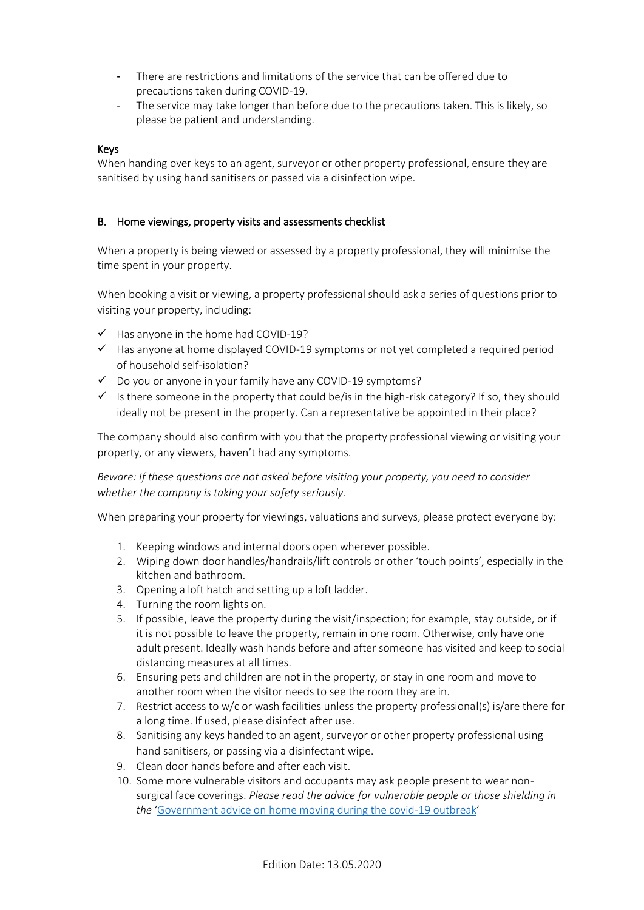- There are restrictions and limitations of the service that can be offered due to precautions taken during COVID-19.
- The service may take longer than before due to the precautions taken. This is likely, so please be patient and understanding.

#### Keys

When handing over keys to an agent, surveyor or other property professional, ensure they are sanitised by using hand sanitisers or passed via a disinfection wipe.

#### B. Home viewings, property visits and assessments checklist

When a property is being viewed or assessed by a property professional, they will minimise the time spent in your property.

When booking a visit or viewing, a property professional should ask a series of questions prior to visiting your property, including:

- $\checkmark$  Has anyone in the home had COVID-19?
- $\checkmark$  Has anyone at home displayed COVID-19 symptoms or not yet completed a required period of household self-isolation?
- $\checkmark$  Do you or anyone in your family have any COVID-19 symptoms?
- Is there someone in the property that could be/is in the high-risk category? If so, they should ideally not be present in the property. Can a representative be appointed in their place?

The company should also confirm with you that the property professional viewing or visiting your property, or any viewers, haven't had any symptoms.

*Beware: If these questions are not asked before visiting your property, you need to consider whether the company is taking your safety seriously.*

When preparing your property for viewings, valuations and surveys, please protect everyone by:

- 1. Keeping windows and internal doors open wherever possible.
- 2. Wiping down door handles/handrails/lift controls or other 'touch points', especially in the kitchen and bathroom.
- 3. Opening a loft hatch and setting up a loft ladder.
- 4. Turning the room lights on.
- 5. If possible, leave the property during the visit/inspection; for example, stay outside, or if it is not possible to leave the property, remain in one room. Otherwise, only have one adult present. Ideally wash hands before and after someone has visited and keep to social distancing measures at all times.
- 6. Ensuring pets and children are not in the property, or stay in one room and move to another room when the visitor needs to see the room they are in.
- 7. Restrict access to w/c or wash facilities unless the property professional(s) is/are there for a long time. If used, please disinfect after use.
- 8. Sanitising any keys handed to an agent, surveyor or other property professional using hand sanitisers, or passing via a disinfectant wipe.
- 9. Clean door hands before and after each visit.
- 10. Some more vulnerable visitors and occupants may ask people present to wear nonsurgical face coverings. *Please read the advice for vulnerable people or those shielding in the* 'Government advice on [home moving during the covid-19 outbreak](https://www.gov.uk/guidance/government-advice-on-home-moving-during-the-coronavirus-covid-19-outbreak?utm_source=e0e4eeda-953e-4084-b795-adf5e2870cb4&utm_medium=email&utm_campaign=govuk-notifications&utm_content=immediate)'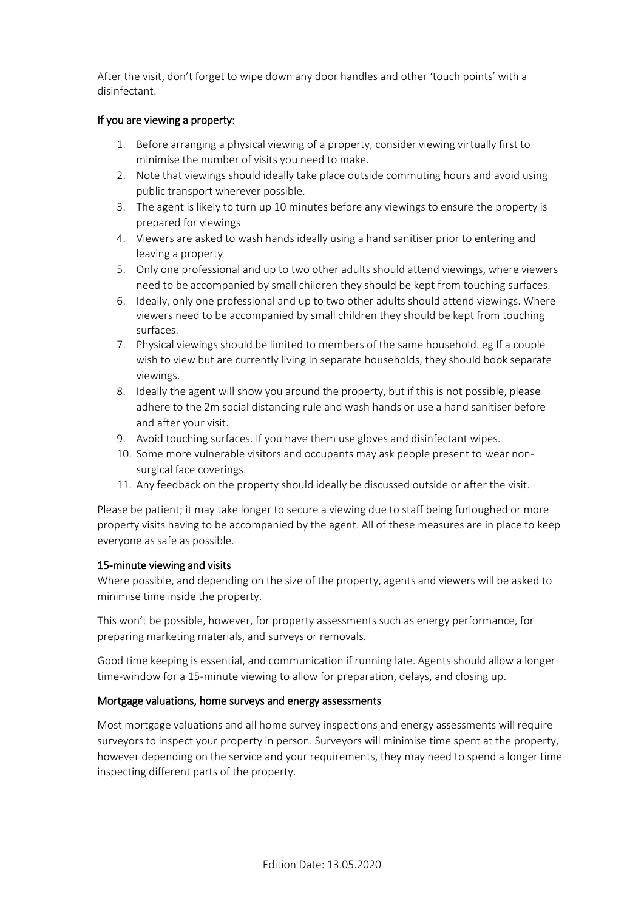After the visit, don't forget to wipe down any door handles and other 'touch points' with a disinfectant.

#### If you are viewing a property:

- 1. Before arranging a physical viewing of a property, consider viewing virtually first to minimise the number of visits you need to make.
- 2. Note that viewings should ideally take place outside commuting hours and avoid using public transport wherever possible.
- 3. The agent is likely to turn up 10 minutes before any viewings to ensure the property is prepared for viewings
- 4. Viewers are asked to wash hands ideally using a hand sanitiser prior to entering and leaving a property
- 5. Only one professional and up to two other adults should attend viewings, where viewers need to be accompanied by small children they should be kept from touching surfaces.
- 6. Ideally, only one professional and up to two other adults should attend viewings. Where viewers need to be accompanied by small children they should be kept from touching surfaces.
- 7. Physical viewings should be limited to members of the same household. eg If a couple wish to view but are currently living in separate households, they should book separate viewings.
- 8. Ideally the agent will show you around the property, but if this is not possible, please adhere to the 2m social distancing rule and wash hands or use a hand sanitiser before and after your visit.
- 9. Avoid touching surfaces. If you have them use gloves and disinfectant wipes.
- 10. Some more vulnerable visitors and occupants may ask people present to wear nonsurgical face coverings.
- 11. Any feedback on the property should ideally be discussed outside or after the visit.

Please be patient; it may take longer to secure a viewing due to staff being furloughed or more property visits having to be accompanied by the agent. All of these measures are in place to keep everyone as safe as possible.

#### 15-minute viewing and visits

Where possible, and depending on the size of the property, agents and viewers will be asked to minimise time inside the property.

This won't be possible, however, for property assessments such as energy performance, for preparing marketing materials, and surveys or removals.

Good time keeping is essential, and communication if running late. Agents should allow a longer time-window for a 15-minute viewing to allow for preparation, delays, and closing up.

#### Mortgage valuations, home surveys and energy assessments

Most mortgage valuations and all home survey inspections and energy assessments will require surveyors to inspect your property in person. Surveyors will minimise time spent at the property, however depending on the service and your requirements, they may need to spend a longer time inspecting different parts of the property.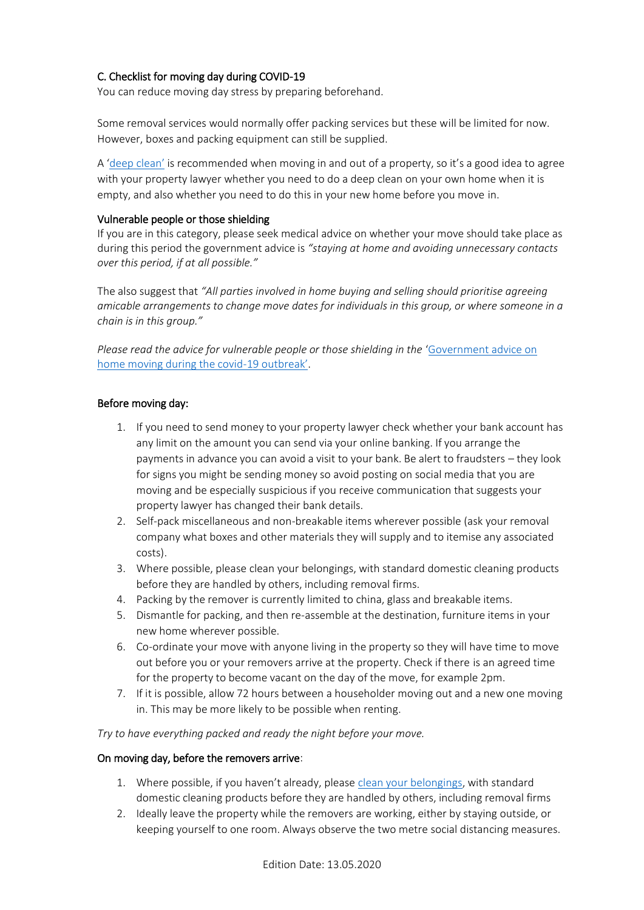## C. Checklist for moving day during COVID-19

You can reduce moving day stress by preparing beforehand.

Some removal services would normally offer packing services but these will be limited for now. However, boxes and packing equipment can still be supplied.

A 'deep [clean'](https://www.gov.uk/government/publications/covid-19-decontamination-in-non-healthcare-settings/covid-19-decontamination-in-non-healthcare-settings) is recommended when moving in and out of a property, so it's a good idea to agree with your property lawyer whether you need to do a deep clean on your own home when it is empty, and also whether you need to do this in your new home before you move in.

#### Vulnerable people or those shielding

If you are in this category, please seek medical advice on whether your move should take place as during this period the government advice is *"staying at home and avoiding unnecessary contacts over this period, if at all possible."*

The also suggest that *"All parties involved in home buying and selling should prioritise agreeing amicable arrangements to change move dates for individuals in this group, or where someone in a chain is in this group."*

*Please read the advice for vulnerable people or those shielding in the* '[Government advice on](https://www.gov.uk/guidance/government-advice-on-home-moving-during-the-coronavirus-covid-19-outbreak?utm_source=e0e4eeda-953e-4084-b795-adf5e2870cb4&utm_medium=email&utm_campaign=govuk-notifications&utm_content=immediate)  [home moving during the covid-](https://www.gov.uk/guidance/government-advice-on-home-moving-during-the-coronavirus-covid-19-outbreak?utm_source=e0e4eeda-953e-4084-b795-adf5e2870cb4&utm_medium=email&utm_campaign=govuk-notifications&utm_content=immediate)19 outbreak'.

#### Before moving day:

- 1. If you need to send money to your property lawyer check whether your bank account has any limit on the amount you can send via your online banking. If you arrange the payments in advance you can avoid a visit to your bank. Be alert to fraudsters – they look for signs you might be sending money so avoid posting on social media that you are moving and be especially suspicious if you receive communication that suggests your property lawyer has changed their bank details.
- 2. Self-pack miscellaneous and non-breakable items wherever possible (ask your removal company what boxes and other materials they will supply and to itemise any associated costs).
- 3. Where possible, please clean your belongings, with standard domestic cleaning products before they are handled by others, including removal firms.
- 4. Packing by the remover is currently limited to china, glass and breakable items.
- 5. Dismantle for packing, and then re-assemble at the destination, furniture items in your new home wherever possible.
- 6. Co-ordinate your move with anyone living in the property so they will have time to move out before you or your removers arrive at the property. Check if there is an agreed time for the property to become vacant on the day of the move, for example 2pm.
- 7. If it is possible, allow 72 hours between a householder moving out and a new one moving in. This may be more likely to be possible when renting.

*Try to have everything packed and ready the night before your move.*

#### On moving day, before the removers arrive:

- 1. Where possible, if you haven't already, please [clean your belongings,](https://www.gov.uk/government/publications/covid-19-decontamination-in-non-healthcare-settings/covid-19-decontamination-in-non-healthcare-settings) with standard domestic cleaning products before they are handled by others, including removal firms
- 2. Ideally leave the property while the removers are working, either by staying outside, or keeping yourself to one room. Always observe the two metre social distancing measures.